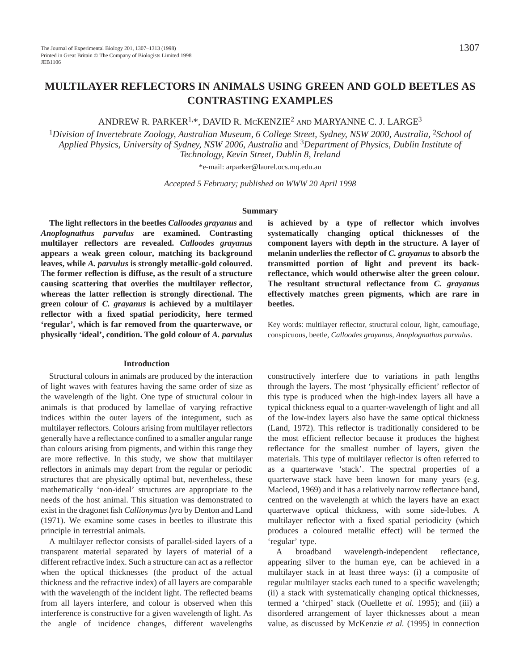# **MULTILAYER REFLECTORS IN ANIMALS USING GREEN AND GOLD BEETLES AS CONTRASTING EXAMPLES**

ANDREW R. PARKER1,\*, DAVID R. MCKENZIE2 AND MARYANNE C. J. LARGE3

<sup>1</sup>Division of Invertebrate Zoology, Australian Museum, 6 College Street, Sydney, NSW 2000, Australia, <sup>2</sup>*School of Applied Physics, University of Sydney, NSW 2006, Australia* and <sup>3</sup>*Department of Physics, Dublin Institute of Technology, Kevin Street, Dublin 8, Ireland*

\*e-mail: arparker@laurel.ocs.mq.edu.au

*Accepted 5 February; published on WWW 20 April 1998*

#### **Summary**

**The light reflectors in the beetles** *Calloodes grayanus* **and** *Anoplognathus parvulus* **are examined. Contrasting multilayer reflectors are revealed.** *Calloodes grayanus* **appears a weak green colour, matching its background leaves, while** *A. parvulus* **is strongly metallic-gold coloured. The former reflection is diffuse, as the result of a structure causing scattering that overlies the multilayer reflector, whereas the latter reflection is strongly directional. The green colour of** *C. grayanus* **is achieved by a multilayer reflector with a fixed spatial periodicity, here termed 'regular', which is far removed from the quarterwave, or physically 'ideal', condition. The gold colour of** *A. parvulus*

#### **Introduction**

Structural colours in animals are produced by the interaction of light waves with features having the same order of size as the wavelength of the light. One type of structural colour in animals is that produced by lamellae of varying refractive indices within the outer layers of the integument, such as multilayer reflectors. Colours arising from multilayer reflectors generally have a reflectance confined to a smaller angular range than colours arising from pigments, and within this range they are more reflective. In this study, we show that multilayer reflectors in animals may depart from the regular or periodic structures that are physically optimal but, nevertheless, these mathematically 'non-ideal' structures are appropriate to the needs of the host animal. This situation was demonstrated to exist in the dragonet fish *Callionymus lyra* by Denton and Land (1971). We examine some cases in beetles to illustrate this principle in terrestrial animals.

A multilayer reflector consists of parallel-sided layers of a transparent material separated by layers of material of a different refractive index. Such a structure can act as a reflector when the optical thicknesses (the product of the actual thickness and the refractive index) of all layers are comparable with the wavelength of the incident light. The reflected beams from all layers interfere, and colour is observed when this interference is constructive for a given wavelength of light. As the angle of incidence changes, different wavelengths **is achieved by a type of reflector which involves systematically changing optical thicknesses of the component layers with depth in the structure. A layer of melanin underlies the reflector of** *C. grayanus* **to absorb the transmitted portion of light and prevent its backreflectance, which would otherwise alter the green colour. The resultant structural reflectance from** *C. grayanus* **effectively matches green pigments, which are rare in beetles.**

Key words: multilayer reflector, structural colour, light, camouflage, conspicuous, beetle, *Calloodes grayanus*, *Anoplognathus parvulus*.

constructively interfere due to variations in path lengths through the layers. The most 'physically efficient' reflector of this type is produced when the high-index layers all have a typical thickness equal to a quarter-wavelength of light and all of the low-index layers also have the same optical thickness (Land, 1972). This reflector is traditionally considered to be the most efficient reflector because it produces the highest reflectance for the smallest number of layers, given the materials. This type of multilayer reflector is often referred to as a quarterwave 'stack'. The spectral properties of a quarterwave stack have been known for many years (e.g. Macleod, 1969) and it has a relatively narrow reflectance band, centred on the wavelength at which the layers have an exact quarterwave optical thickness, with some side-lobes. A multilayer reflector with a fixed spatial periodicity (which produces a coloured metallic effect) will be termed the 'regular' type.

A broadband wavelength-independent reflectance, appearing silver to the human eye, can be achieved in a multilayer stack in at least three ways: (i) a composite of regular multilayer stacks each tuned to a specific wavelength; (ii) a stack with systematically changing optical thicknesses, termed a 'chirped' stack (Ouellette *et al.* 1995); and (iii) a disordered arrangement of layer thicknesses about a mean value, as discussed by McKenzie *et al.* (1995) in connection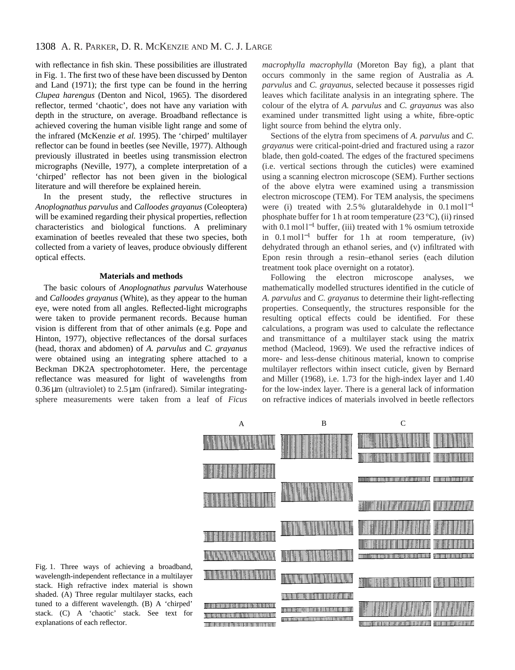with reflectance in fish skin. These possibilities are illustrated in Fig. 1. The first two of these have been discussed by Denton and Land (1971); the first type can be found in the herring *Clupea harengus* (Denton and Nicol, 1965). The disordered reflector, termed 'chaotic', does not have any variation with depth in the structure, on average. Broadband reflectance is achieved covering the human visible light range and some of the infrared (McKenzie *et al.* 1995). The 'chirped' multilayer reflector can be found in beetles (see Neville, 1977). Although previously illustrated in beetles using transmission electron micrographs (Neville, 1977), a complete interpretation of a 'chirped' reflector has not been given in the biological literature and will therefore be explained herein.

In the present study, the reflective structures in *Anoplognathus parvulus* and *Calloodes grayanus* (Coleoptera) will be examined regarding their physical properties, reflection characteristics and biological functions. A preliminary examination of beetles revealed that these two species, both collected from a variety of leaves, produce obviously different optical effects.

#### **Materials and methods**

The basic colours of *Anoplognathus parvulus* Waterhouse and *Calloodes grayanus* (White), as they appear to the human eye, were noted from all angles. Reflected-light micrographs were taken to provide permanent records. Because human vision is different from that of other animals (e.g. Pope and Hinton, 1977), objective reflectances of the dorsal surfaces (head, thorax and abdomen) of *A. parvulus* and *C. grayanus* were obtained using an integrating sphere attached to a Beckman DK2A spectrophotometer. Here, the percentage reflectance was measured for light of wavelengths from  $0.36 \,\mu$ m (ultraviolet) to  $2.5 \,\mu$ m (infrared). Similar integratingsphere measurements were taken from a leaf of *Ficus*

*macrophylla macrophylla* (Moreton Bay fig), a plant that occurs commonly in the same region of Australia as *A. parvulus* and *C. grayanus*, selected because it possesses rigid leaves which facilitate analysis in an integrating sphere. The colour of the elytra of *A. parvulus* and *C. grayanus* was also examined under transmitted light using a white, fibre-optic light source from behind the elytra only.

Sections of the elytra from specimens of *A. parvulus* and *C. grayanus* were critical-point-dried and fractured using a razor blade, then gold-coated. The edges of the fractured specimens (i.e. vertical sections through the cuticles) were examined using a scanning electron microscope (SEM). Further sections of the above elytra were examined using a transmission electron microscope (TEM). For TEM analysis, the specimens were (i) treated with  $2.5\%$  glutaraldehyde in  $0.1 \text{ mol} 1^{-1}$ phosphate buffer for 1 h at room temperature (23 °C), (ii) rinsed with 0.1 mol l<sup>-1</sup> buffer, (iii) treated with 1 % osmium tetroxide in  $0.1 \text{ mol}^{-1}$  buffer for 1 h at room temperature, (iv) dehydrated through an ethanol series, and (v) infiltrated with Epon resin through a resin–ethanol series (each dilution treatment took place overnight on a rotator).

Following the electron microscope analyses, we mathematically modelled structures identified in the cuticle of *A. parvulus* and *C. grayanus* to determine their light-reflecting properties. Consequently, the structures responsible for the resulting optical effects could be identified. For these calculations, a program was used to calculate the reflectance and transmittance of a multilayer stack using the matrix method (Macleod, 1969). We used the refractive indices of more- and less-dense chitinous material, known to comprise multilayer reflectors within insect cuticle, given by Bernard and Miller (1968), i.e. 1.73 for the high-index layer and 1.40 for the low-index layer. There is a general lack of information on refractive indices of materials involved in beetle reflectors



Fig. 1. Three ways of achieving a broadband, wavelength-independent reflectance in a multilayer stack. High refractive index material is shown shaded. (A) Three regular multilayer stacks, each tuned to a different wavelength. (B) A 'chirped' stack. (C) A 'chaotic' stack. See text for explanations of each reflector.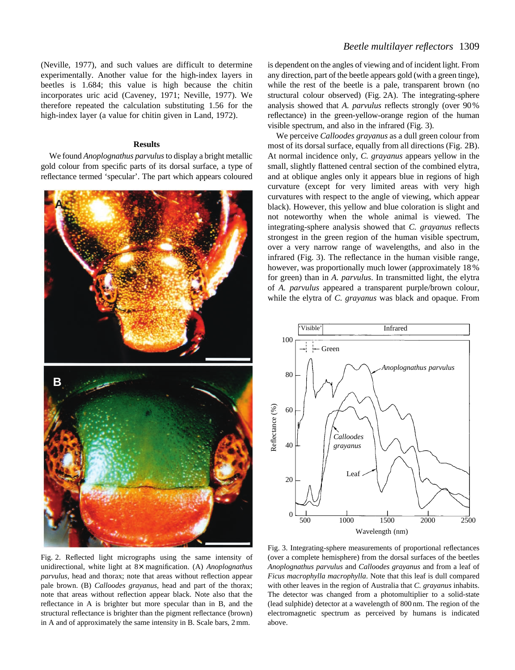(Neville, 1977), and such values are difficult to determine experimentally. Another value for the high-index layers in beetles is 1.684; this value is high because the chitin incorporates uric acid (Caveney, 1971; Neville, 1977). We therefore repeated the calculation substituting 1.56 for the high-index layer (a value for chitin given in Land, 1972).

#### **Results**

We found *Anoplognathus parvulus*to display a bright metallic gold colour from specific parts of its dorsal surface, a type of reflectance termed 'specular'. The part which appears coloured



Fig. 2. Reflected light micrographs using the same intensity of unidirectional, white light at 8× magnification. (A) *Anoplognathus parvulus*, head and thorax; note that areas without reflection appear pale brown. (B) *Calloodes grayanus*, head and part of the thorax; note that areas without reflection appear black. Note also that the reflectance in A is brighter but more specular than in B, and the structural reflectance is brighter than the pigment reflectance (brown) in A and of approximately the same intensity in B. Scale bars, 2 mm.

is dependent on the angles of viewing and of incident light. From any direction, part of the beetle appears gold (with a green tinge), while the rest of the beetle is a pale, transparent brown (no structural colour observed) (Fig. 2A). The integrating-sphere analysis showed that *A. parvulus* reflects strongly (over 90 % reflectance) in the green-yellow-orange region of the human visible spectrum, and also in the infrared (Fig. 3).

We perceive *Calloodes grayanus* as a dull green colour from most of its dorsal surface, equally from all directions (Fig. 2B). At normal incidence only, *C. grayanus* appears yellow in the small, slightly flattened central section of the combined elytra, and at oblique angles only it appears blue in regions of high curvature (except for very limited areas with very high curvatures with respect to the angle of viewing, which appear black). However, this yellow and blue coloration is slight and not noteworthy when the whole animal is viewed. The integrating-sphere analysis showed that *C. grayanus* reflects strongest in the green region of the human visible spectrum, over a very narrow range of wavelengths, and also in the infrared (Fig. 3). The reflectance in the human visible range, however, was proportionally much lower (approximately 18 % for green) than in *A. parvulus*. In transmitted light, the elytra of *A. parvulus* appeared a transparent purple/brown colour, while the elytra of *C. grayanus* was black and opaque. From



Fig. 3. Integrating-sphere measurements of proportional reflectances (over a complete hemisphere) from the dorsal surfaces of the beetles *Anoplognathus parvulus* and *Calloodes grayanus* and from a leaf of *Ficus macrophylla macrophylla*. Note that this leaf is dull compared with other leaves in the region of Australia that *C. grayanus* inhabits. The detector was changed from a photomultiplier to a solid-state (lead sulphide) detector at a wavelength of 800 nm. The region of the electromagnetic spectrum as perceived by humans is indicated above.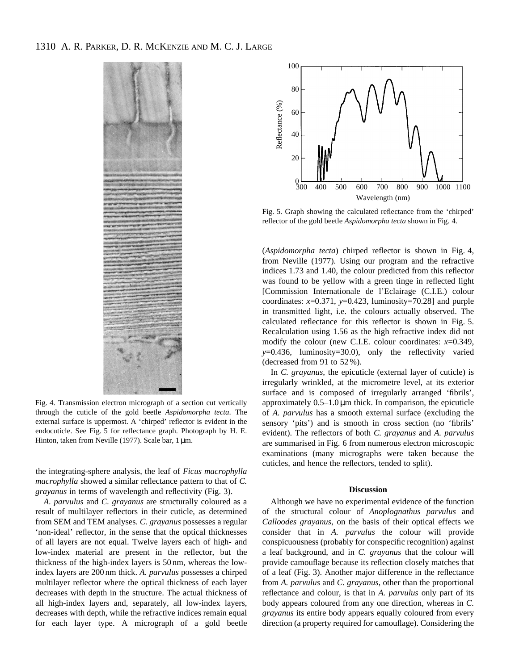## 1310 A. R. PARKER, D. R. MCKENZIE AND M. C. J. LARGE



Fig. 4. Transmission electron micrograph of a section cut vertically through the cuticle of the gold beetle *Aspidomorpha tecta*. The external surface is uppermost. A 'chirped' reflector is evident in the endocuticle. See Fig. 5 for reflectance graph. Photograph by H. E. Hinton, taken from Neville (1977). Scale bar, 1 µm.

the integrating-sphere analysis, the leaf of *Ficus macrophylla macrophylla* showed a similar reflectance pattern to that of *C. grayanus* in terms of wavelength and reflectivity (Fig. 3).

*A. parvulus* and *C. grayanus* are structurally coloured as a result of multilayer reflectors in their cuticle, as determined from SEM and TEM analyses. *C. grayanus* possesses a regular 'non-ideal' reflector, in the sense that the optical thicknesses of all layers are not equal. Twelve layers each of high- and low-index material are present in the reflector, but the thickness of the high-index layers is 50 nm, whereas the lowindex layers are 200 nm thick. *A. parvulus* possesses a chirped multilayer reflector where the optical thickness of each layer decreases with depth in the structure. The actual thickness of all high-index layers and, separately, all low-index layers, decreases with depth, while the refractive indices remain equal for each layer type. A micrograph of a gold beetle



Fig. 5. Graph showing the calculated reflectance from the 'chirped' reflector of the gold beetle *Aspidomorpha tecta* shown in Fig. 4.

(*Aspidomorpha tecta*) chirped reflector is shown in Fig. 4, from Neville (1977). Using our program and the refractive indices 1.73 and 1.40, the colour predicted from this reflector was found to be yellow with a green tinge in reflected light [Commission Internationale de l'Eclairage (C.I.E.) colour coordinates:  $x=0.371$ ,  $y=0.423$ , luminosity=70.28] and purple in transmitted light, i.e. the colours actually observed. The calculated reflectance for this reflector is shown in Fig. 5. Recalculation using 1.56 as the high refractive index did not modify the colour (new C.I.E. colour coordinates: *x*=0.349, *y*=0.436, luminosity=30.0), only the reflectivity varied (decreased from 91 to 52 %).

In *C. grayanus*, the epicuticle (external layer of cuticle) is irregularly wrinkled, at the micrometre level, at its exterior surface and is composed of irregularly arranged 'fibrils', approximately  $0.5-1.0 \mu m$  thick. In comparison, the epicuticle of *A. parvulus* has a smooth external surface (excluding the sensory 'pits') and is smooth in cross section (no 'fibrils' evident). The reflectors of both *C. grayanus* and *A. parvulus* are summarised in Fig. 6 from numerous electron microscopic examinations (many micrographs were taken because the cuticles, and hence the reflectors, tended to split).

## **Discussion**

Although we have no experimental evidence of the function of the structural colour of *Anoplognathus parvulus* and *Calloodes grayanus*, on the basis of their optical effects we consider that in *A. parvulus* the colour will provide conspicuousness (probably for conspecific recognition) against a leaf background, and in *C. grayanus* that the colour will provide camouflage because its reflection closely matches that of a leaf (Fig. 3). Another major difference in the reflectance from *A. parvulus* and *C. grayanus*, other than the proportional reflectance and colour, is that in *A. parvulus* only part of its body appears coloured from any one direction, whereas in *C. grayanus* its entire body appears equally coloured from every direction (a property required for camouflage). Considering the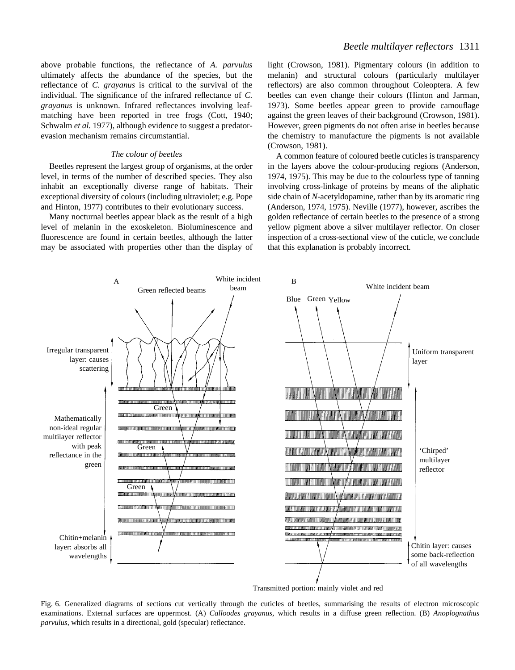above probable functions, the reflectance of *A. parvulus* ultimately affects the abundance of the species, but the reflectance of *C. grayanus* is critical to the survival of the individual. The significance of the infrared reflectance of *C. grayanus* is unknown. Infrared reflectances involving leafmatching have been reported in tree frogs (Cott, 1940; Schwalm *et al.* 1977), although evidence to suggest a predatorevasion mechanism remains circumstantial.

### *The colour of beetles*

Beetles represent the largest group of organisms, at the order level, in terms of the number of described species. They also inhabit an exceptionally diverse range of habitats. Their exceptional diversity of colours (including ultraviolet; e.g. Pope and Hinton, 1977) contributes to their evolutionary success.

Many nocturnal beetles appear black as the result of a high level of melanin in the exoskeleton. Bioluminescence and fluorescence are found in certain beetles, although the latter may be associated with properties other than the display of light (Crowson, 1981). Pigmentary colours (in addition to melanin) and structural colours (particularly multilayer reflectors) are also common throughout Coleoptera. A few beetles can even change their colours (Hinton and Jarman, 1973). Some beetles appear green to provide camouflage against the green leaves of their background (Crowson, 1981). However, green pigments do not often arise in beetles because the chemistry to manufacture the pigments is not available (Crowson, 1981).

A common feature of coloured beetle cuticles is transparency in the layers above the colour-producing regions (Anderson, 1974, 1975). This may be due to the colourless type of tanning involving cross-linkage of proteins by means of the aliphatic side chain of *N*-acetyldopamine, rather than by its aromatic ring (Anderson, 1974, 1975). Neville (1977), however, ascribes the golden reflectance of certain beetles to the presence of a strong yellow pigment above a silver multilayer reflector. On closer inspection of a cross-sectional view of the cuticle, we conclude that this explanation is probably incorrect.



Transmitted portion: mainly violet and red

Fig. 6. Generalized diagrams of sections cut vertically through the cuticles of beetles, summarising the results of electron microscopic examinations. External surfaces are uppermost. (A) *Calloodes grayanus*, which results in a diffuse green reflection. (B) *Anoplognathus parvulus*, which results in a directional, gold (specular) reflectance.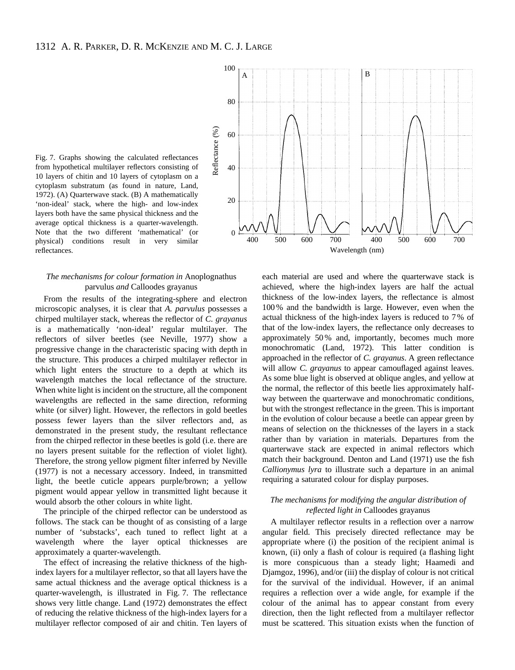Fig. 7. Graphs showing the calculated reflectances from hypothetical multilayer reflectors consisting of 10 layers of chitin and 10 layers of cytoplasm on a cytoplasm substratum (as found in nature, Land, 1972). (A) Quarterwave stack. (B) A mathematically 'non-ideal' stack, where the high- and low-index layers both have the same physical thickness and the average optical thickness is a quarter-wavelength. Note that the two different 'mathematical' (or physical) conditions result in very similar reflectances.

## *The mechanisms for colour formation in* Anoplognathus parvulus *and* Calloodes grayanus

From the results of the integrating-sphere and electron microscopic analyses, it is clear that *A. parvulus* possesses a chirped multilayer stack, whereas the reflector of *C. grayanus* is a mathematically 'non-ideal' regular multilayer. The reflectors of silver beetles (see Neville, 1977) show a progressive change in the characteristic spacing with depth in the structure. This produces a chirped multilayer reflector in which light enters the structure to a depth at which its wavelength matches the local reflectance of the structure. When white light is incident on the structure, all the component wavelengths are reflected in the same direction, reforming white (or silver) light. However, the reflectors in gold beetles possess fewer layers than the silver reflectors and, as demonstrated in the present study, the resultant reflectance from the chirped reflector in these beetles is gold (i.e. there are no layers present suitable for the reflection of violet light). Therefore, the strong yellow pigment filter inferred by Neville (1977) is not a necessary accessory. Indeed, in transmitted light, the beetle cuticle appears purple/brown; a yellow pigment would appear yellow in transmitted light because it would absorb the other colours in white light.

The principle of the chirped reflector can be understood as follows. The stack can be thought of as consisting of a large number of 'substacks', each tuned to reflect light at a wavelength where the layer optical thicknesses are approximately a quarter-wavelength.

The effect of increasing the relative thickness of the highindex layers for a multilayer reflector, so that all layers have the same actual thickness and the average optical thickness is a quarter-wavelength, is illustrated in Fig. 7. The reflectance shows very little change. Land (1972) demonstrates the effect of reducing the relative thickness of the high-index layers for a multilayer reflector composed of air and chitin. Ten layers of



each material are used and where the quarterwave stack is achieved, where the high-index layers are half the actual thickness of the low-index layers, the reflectance is almost 100 % and the bandwidth is large. However, even when the actual thickness of the high-index layers is reduced to 7 % of that of the low-index layers, the reflectance only decreases to approximately 50 % and, importantly, becomes much more monochromatic (Land, 1972). This latter condition is approached in the reflector of *C. grayanus*. A green reflectance will allow *C. grayanus* to appear camouflaged against leaves. As some blue light is observed at oblique angles, and yellow at the normal, the reflector of this beetle lies approximately halfway between the quarterwave and monochromatic conditions, but with the strongest reflectance in the green. This is important in the evolution of colour because a beetle can appear green by means of selection on the thicknesses of the layers in a stack rather than by variation in materials. Departures from the quarterwave stack are expected in animal reflectors which match their background. Denton and Land (1971) use the fish *Callionymus lyra* to illustrate such a departure in an animal requiring a saturated colour for display purposes.

## *The mechanisms for modifying the angular distribution of reflected light in* Calloodes grayanus

A multilayer reflector results in a reflection over a narrow angular field. This precisely directed reflectance may be appropriate where (i) the position of the recipient animal is known, (ii) only a flash of colour is required (a flashing light is more conspicuous than a steady light; Haamedi and Djamgoz, 1996), and/or (iii) the display of colour is not critical for the survival of the individual. However, if an animal requires a reflection over a wide angle, for example if the colour of the animal has to appear constant from every direction, then the light reflected from a multilayer reflector must be scattered. This situation exists when the function of